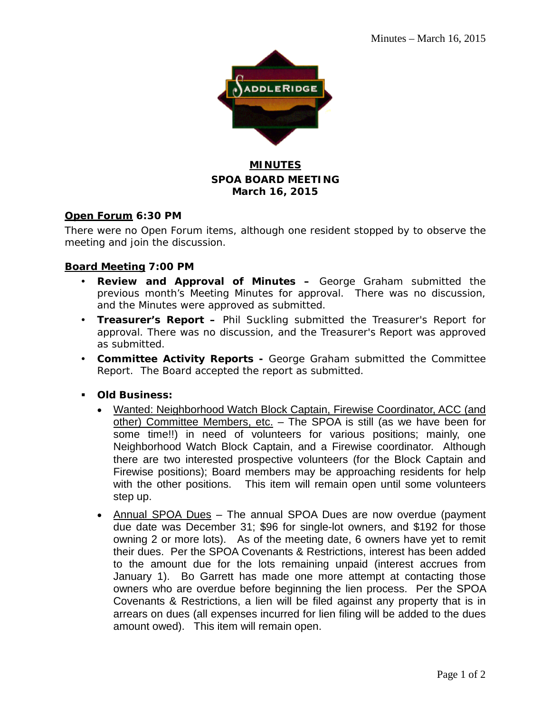

# **MINUTES SPOA BOARD MEETING March 16, 2015**

### **Open Forum 6:30 PM**

There were no Open Forum items, although one resident stopped by to observe the meeting and join the discussion.

## **Board Meeting 7:00 PM**

- **Review and Approval of Minutes –** George Graham submitted the previous month's Meeting Minutes for approval. There was no discussion, and the Minutes were approved as submitted.
- **Treasurer's Report –** Phil Suckling submitted the Treasurer's Report for approval. There was no discussion, and the Treasurer's Report was approved as submitted.
- **Committee Activity Reports -** George Graham submitted the Committee Report. The Board accepted the report as submitted.
- **Old Business:**
	- Wanted: Neighborhood Watch Block Captain, Firewise Coordinator, ACC (and other) Committee Members, etc. - The SPOA is still (as we have been for some time!!) in need of volunteers for various positions; mainly, one Neighborhood Watch Block Captain, and a Firewise coordinator. Although there are two interested prospective volunteers (for the Block Captain and Firewise positions); Board members may be approaching residents for help with the other positions. This item will remain open until some volunteers step up.
	- Annual SPOA Dues The annual SPOA Dues are now overdue (payment due date was December 31; \$96 for single-lot owners, and \$192 for those owning 2 or more lots). As of the meeting date, 6 owners have yet to remit their dues. Per the SPOA Covenants & Restrictions, interest has been added to the amount due for the lots remaining unpaid (interest accrues from January 1). Bo Garrett has made one more attempt at contacting those owners who are overdue before beginning the lien process. Per the SPOA Covenants & Restrictions, a lien will be filed against any property that is in arrears on dues (all expenses incurred for lien filing will be added to the dues amount owed). This item will remain open.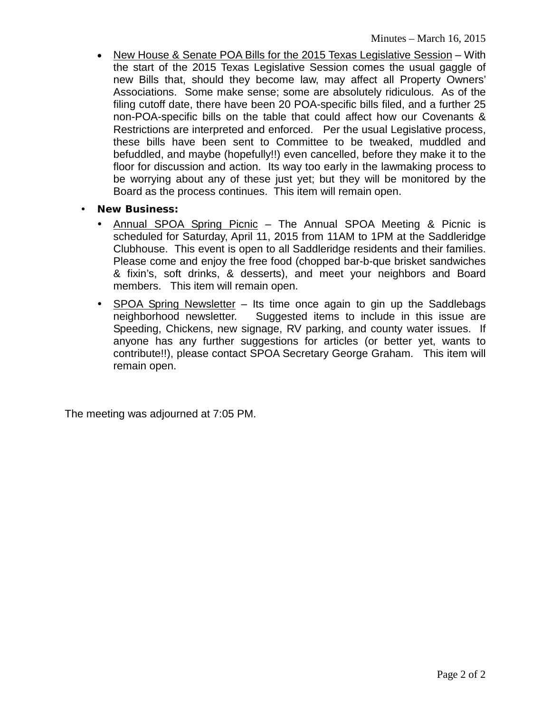- New House & Senate POA Bills for the 2015 Texas Legislative Session With the start of the 2015 Texas Legislative Session comes the usual gaggle of new Bills that, should they become law, may affect all Property Owners' Associations. Some make sense; some are absolutely ridiculous. As of the filing cutoff date, there have been 20 POA-specific bills filed, and a further 25 non-POA-specific bills on the table that could affect how our Covenants & Restrictions are interpreted and enforced. Per the usual Legislative process, these bills have been sent to Committee to be tweaked, muddled and befuddled, and maybe (hopefully!!) even cancelled, before they make it to the floor for discussion and action. Its way too early in the lawmaking process to be worrying about any of these just yet; but they will be monitored by the Board as the process continues. This item will remain open.
- **New Business:**
	- Annual SPOA Spring Picnic The Annual SPOA Meeting & Picnic is scheduled for Saturday, April 11, 2015 from 11AM to 1PM at the Saddleridge Clubhouse. This event is open to all Saddleridge residents and their families. Please come and enjoy the free food (chopped bar-b-que brisket sandwiches & fixin's, soft drinks, & desserts), and meet your neighbors and Board members. This item will remain open.
	- SPOA Spring Newsletter Its time once again to gin up the Saddlebags neighborhood newsletter. Suggested items to include in this issue are Speeding, Chickens, new signage, RV parking, and county water issues. If anyone has any further suggestions for articles (or better yet, wants to contribute!!), please contact SPOA Secretary George Graham. This item will remain open.

The meeting was adjourned at 7:05 PM.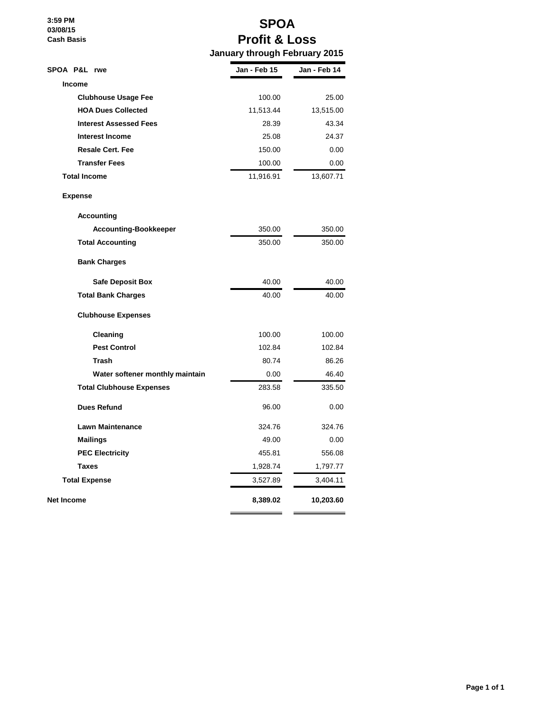**3:59 PM 03/08/15 Cash Basis**

# **SPOA Profit & Loss January through February 2015**

| SPOA P&L rwe                    | Jan - Feb 15 | Jan - Feb 14 |
|---------------------------------|--------------|--------------|
| <b>Income</b>                   |              |              |
| <b>Clubhouse Usage Fee</b>      | 100.00       | 25.00        |
| <b>HOA Dues Collected</b>       | 11,513.44    | 13,515.00    |
| <b>Interest Assessed Fees</b>   | 28.39        | 43.34        |
| <b>Interest Income</b>          | 25.08        | 24.37        |
| <b>Resale Cert. Fee</b>         | 150.00       | 0.00         |
| <b>Transfer Fees</b>            | 100.00       | 0.00         |
| <b>Total Income</b>             | 11,916.91    | 13,607.71    |
| <b>Expense</b>                  |              |              |
| <b>Accounting</b>               |              |              |
| <b>Accounting-Bookkeeper</b>    | 350.00       | 350.00       |
| <b>Total Accounting</b>         | 350.00       | 350.00       |
| <b>Bank Charges</b>             |              |              |
| <b>Safe Deposit Box</b>         | 40.00        | 40.00        |
| <b>Total Bank Charges</b>       | 40.00        | 40.00        |
| <b>Clubhouse Expenses</b>       |              |              |
| Cleaning                        | 100.00       | 100.00       |
| <b>Pest Control</b>             | 102.84       | 102.84       |
| Trash                           | 80.74        | 86.26        |
| Water softener monthly maintain | 0.00         | 46.40        |
| <b>Total Clubhouse Expenses</b> | 283.58       | 335.50       |
| <b>Dues Refund</b>              | 96.00        | 0.00         |
| <b>Lawn Maintenance</b>         | 324.76       | 324.76       |
| <b>Mailings</b>                 | 49.00        | 0.00         |
| <b>PEC Electricity</b>          | 455.81       | 556.08       |
| <b>Taxes</b>                    | 1,928.74     | 1,797.77     |
| <b>Total Expense</b>            | 3,527.89     | 3,404.11     |
| Net Income                      | 8,389.02     | 10,203.60    |
|                                 |              |              |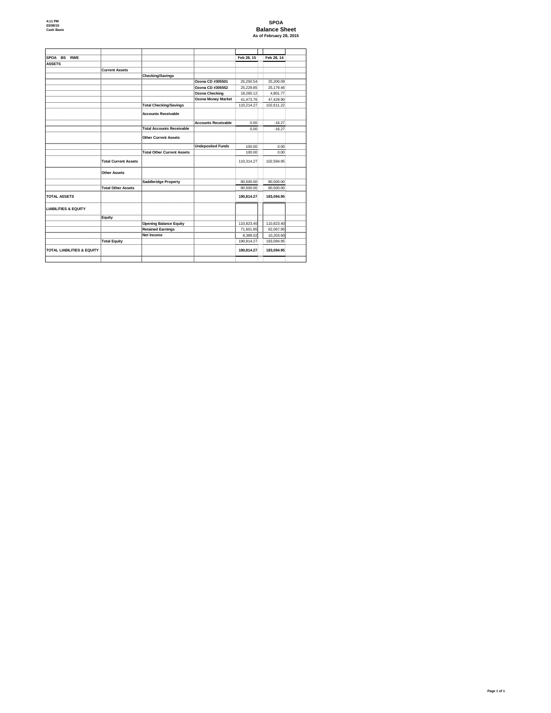# **SPOA Balance Sheet As of February 28, 2015**

| SPOA BS RWE                           |                             |                                   |                            | Feb 28, 15 | Feb 28, 14 |
|---------------------------------------|-----------------------------|-----------------------------------|----------------------------|------------|------------|
| <b>ASSETS</b>                         |                             |                                   |                            |            |            |
|                                       | <b>Current Assets</b>       |                                   |                            |            |            |
|                                       |                             | <b>Checking/Savings</b>           |                            |            |            |
|                                       |                             |                                   | Ozona CD #305501           | 25,250.54  | 25,200.09  |
|                                       |                             |                                   | Ozona CD #305552           | 25,229.85  | 25,179.46  |
|                                       |                             |                                   | <b>Ozona Checking</b>      | 18,260.12  | 4,801.77   |
|                                       |                             |                                   | <b>Ozona Money Market</b>  | 41,473.76  | 47,429.90  |
|                                       |                             | <b>Total Checking/Savings</b>     |                            | 110,214.27 | 102,611.22 |
|                                       |                             | <b>Accounts Receivable</b>        |                            |            |            |
|                                       |                             |                                   | <b>Accounts Receivable</b> | 0.00       | $-16.27$   |
|                                       |                             | <b>Total Accounts Receivable</b>  |                            | 0.00       | $-16.27$   |
|                                       |                             | <b>Other Current Assets</b>       |                            |            |            |
|                                       |                             |                                   | <b>Undeposited Funds</b>   | 100.00     | 0.00       |
|                                       |                             | <b>Total Other Current Assets</b> |                            | 100.00     | 0.00       |
|                                       | <b>Total Current Assets</b> |                                   |                            | 110,314.27 | 102,594.95 |
|                                       | <b>Other Assets</b>         |                                   |                            |            |            |
|                                       |                             | <b>Saddleridge Property</b>       |                            | 80,500.00  | 80,500.00  |
|                                       | <b>Total Other Assets</b>   |                                   |                            | 80,500.00  | 80,500.00  |
| <b>TOTAL ASSETS</b>                   |                             |                                   |                            | 190,814.27 | 183,094.95 |
| <b>LIABILITIES &amp; EQUITY</b>       |                             |                                   |                            |            |            |
|                                       | <b>Equity</b>               |                                   |                            |            |            |
|                                       |                             | <b>Opening Balance Equity</b>     |                            | 110,823.40 | 110,823.40 |
|                                       |                             | <b>Retained Earnings</b>          |                            | 71,601.85  | 62,067.95  |
|                                       |                             | <b>Net Income</b>                 |                            | 8,389.02   | 10,203.60  |
|                                       | <b>Total Equity</b>         |                                   |                            | 190,814.27 | 183,094.95 |
| <b>TOTAL LIABILITIES &amp; EQUITY</b> |                             |                                   |                            | 190,814.27 | 183,094.95 |
|                                       |                             |                                   |                            |            |            |